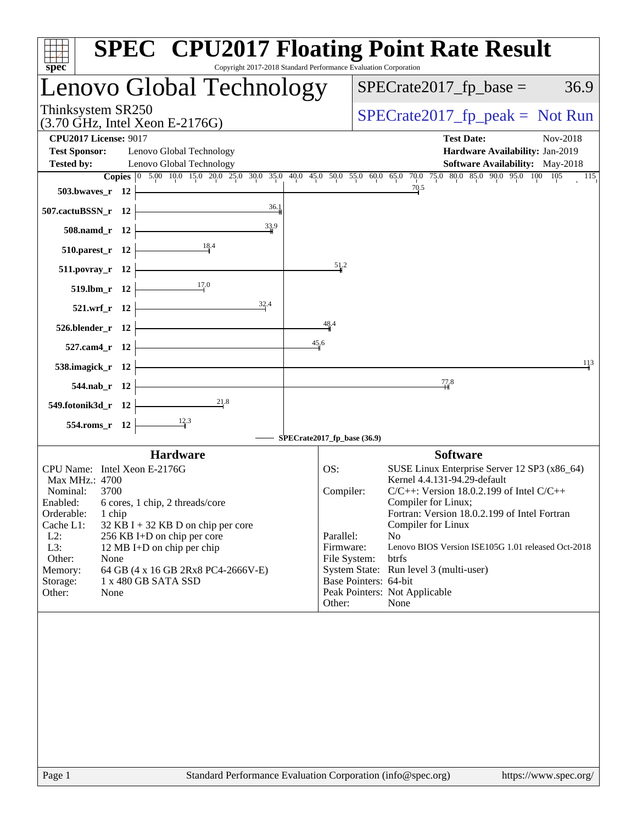| spec <sup>®</sup>                                                                                                                                                                                                                                                                                                                                                                                                       | <b>SPEC<sup>®</sup> CPU2017 Floating Point Rate Result</b><br>Copyright 2017-2018 Standard Performance Evaluation Corporation                                                                                                                                                                                                                                                                                                                                                                                      |
|-------------------------------------------------------------------------------------------------------------------------------------------------------------------------------------------------------------------------------------------------------------------------------------------------------------------------------------------------------------------------------------------------------------------------|--------------------------------------------------------------------------------------------------------------------------------------------------------------------------------------------------------------------------------------------------------------------------------------------------------------------------------------------------------------------------------------------------------------------------------------------------------------------------------------------------------------------|
| Lenovo Global Technology                                                                                                                                                                                                                                                                                                                                                                                                | $SPECrate2017fp base =$<br>36.9                                                                                                                                                                                                                                                                                                                                                                                                                                                                                    |
| Thinksystem SR250<br>$(3.70 \text{ GHz}, \text{Intel Xeon E-2176G})$                                                                                                                                                                                                                                                                                                                                                    | $SPECrate2017_fp\_peak = Not Run$                                                                                                                                                                                                                                                                                                                                                                                                                                                                                  |
| <b>CPU2017 License: 9017</b><br><b>Test Sponsor:</b><br>Lenovo Global Technology<br><b>Tested by:</b><br>Lenovo Global Technology                                                                                                                                                                                                                                                                                       | <b>Test Date:</b><br>Nov-2018<br>Hardware Availability: Jan-2019<br><b>Software Availability:</b> May-2018                                                                                                                                                                                                                                                                                                                                                                                                         |
| 503.bwaves_r $12$ $\vdash$<br>36.1<br>$507$ .cactuBSSN_r 12                                                                                                                                                                                                                                                                                                                                                             | Copies $\begin{bmatrix} 0 & 5.00 & 10.0 & 15.0 & 20.0 & 25.0 & 30.0 & 35.0 & 40.0 & 45.0 & 50.0 & 55.0 & 60.0 & 65.0 & 70.0 & 75.0 & 80.0 & 85.0 & 90.0 & 95.0 & 100 & 105 \end{bmatrix}$<br>115<br>70.5                                                                                                                                                                                                                                                                                                           |
| 33.9<br>508.namd_r $12$ –<br>$\overbrace{\qquad \qquad }^{18.4}$<br>$510.parest_r 12$                                                                                                                                                                                                                                                                                                                                   |                                                                                                                                                                                                                                                                                                                                                                                                                                                                                                                    |
| 511.povray_r 12 $\vdash$                                                                                                                                                                                                                                                                                                                                                                                                | 51.2                                                                                                                                                                                                                                                                                                                                                                                                                                                                                                               |
| 519.1bm_r 12 $\frac{17.0}{17.0}$<br>$\frac{32.4}{1}$<br>$521.wrf_r 12$                                                                                                                                                                                                                                                                                                                                                  |                                                                                                                                                                                                                                                                                                                                                                                                                                                                                                                    |
| $526.$ blender_r 12 $\vdash$<br>527.cam4_r $12$ $\vdash$                                                                                                                                                                                                                                                                                                                                                                | 48.4<br>45,6                                                                                                                                                                                                                                                                                                                                                                                                                                                                                                       |
| 538.imagick_r $12$ $\vdash$                                                                                                                                                                                                                                                                                                                                                                                             | 113                                                                                                                                                                                                                                                                                                                                                                                                                                                                                                                |
| 544.nab_r $12$ $\vdash$                                                                                                                                                                                                                                                                                                                                                                                                 | 77.8                                                                                                                                                                                                                                                                                                                                                                                                                                                                                                               |
| 549.fotonik3d_r 12 $\frac{21.8}{1}$<br>$554$ .roms_r 12                                                                                                                                                                                                                                                                                                                                                                 |                                                                                                                                                                                                                                                                                                                                                                                                                                                                                                                    |
|                                                                                                                                                                                                                                                                                                                                                                                                                         | SPECrate2017_fp_base (36.9)                                                                                                                                                                                                                                                                                                                                                                                                                                                                                        |
| <b>Hardware</b><br>CPU Name: Intel Xeon E-2176G<br>Max MHz.: 4700<br>Nominal:<br>3700<br>Enabled:<br>6 cores, 1 chip, 2 threads/core<br>Orderable:<br>1 chip<br>Cache L1:<br>$32$ KB I + 32 KB D on chip per core<br>$L2$ :<br>256 KB I+D on chip per core<br>L3:<br>12 MB I+D on chip per chip<br>Other:<br>None<br>64 GB (4 x 16 GB 2Rx8 PC4-2666V-E)<br>Memory:<br>1 x 480 GB SATA SSD<br>Storage:<br>Other:<br>None | <b>Software</b><br>OS:<br>SUSE Linux Enterprise Server 12 SP3 (x86_64)<br>Kernel 4.4.131-94.29-default<br>Compiler:<br>$C/C++$ : Version 18.0.2.199 of Intel $C/C++$<br>Compiler for Linux;<br>Fortran: Version 18.0.2.199 of Intel Fortran<br>Compiler for Linux<br>Parallel:<br>N <sub>0</sub><br>Lenovo BIOS Version ISE105G 1.01 released Oct-2018<br>Firmware:<br>File System:<br>btrfs<br>System State: Run level 3 (multi-user)<br>Base Pointers: 64-bit<br>Peak Pointers: Not Applicable<br>Other:<br>None |
|                                                                                                                                                                                                                                                                                                                                                                                                                         |                                                                                                                                                                                                                                                                                                                                                                                                                                                                                                                    |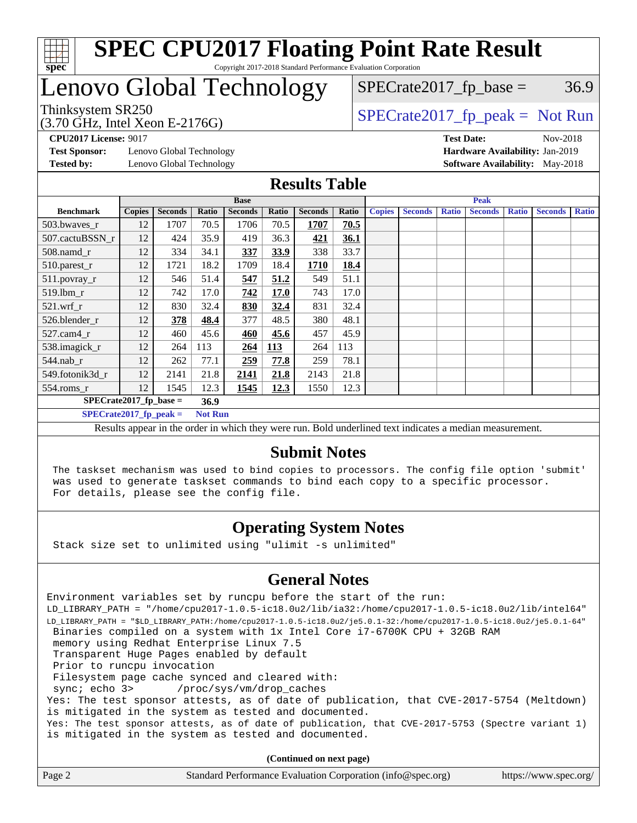

# Lenovo Global Technology

 $SPECTate2017<sub>fp</sub> base =  $36.9$$ 

(3.70 GHz, Intel Xeon E-2176G)

Thinksystem SR250  $SPECrate2017$  fp\_peak = Not Run

**[Test Sponsor:](http://www.spec.org/auto/cpu2017/Docs/result-fields.html#TestSponsor)** Lenovo Global Technology **[Hardware Availability:](http://www.spec.org/auto/cpu2017/Docs/result-fields.html#HardwareAvailability)** Jan-2019 **[Tested by:](http://www.spec.org/auto/cpu2017/Docs/result-fields.html#Testedby)** Lenovo Global Technology **[Software Availability:](http://www.spec.org/auto/cpu2017/Docs/result-fields.html#SoftwareAvailability)** May-2018

**[CPU2017 License:](http://www.spec.org/auto/cpu2017/Docs/result-fields.html#CPU2017License)** 9017 **[Test Date:](http://www.spec.org/auto/cpu2017/Docs/result-fields.html#TestDate)** Nov-2018

#### **[Results Table](http://www.spec.org/auto/cpu2017/Docs/result-fields.html#ResultsTable)**

|                          | <b>Base</b>   |                |                |                |       |                | <b>Peak</b> |               |                |              |                |              |                |              |
|--------------------------|---------------|----------------|----------------|----------------|-------|----------------|-------------|---------------|----------------|--------------|----------------|--------------|----------------|--------------|
| <b>Benchmark</b>         | <b>Copies</b> | <b>Seconds</b> | Ratio          | <b>Seconds</b> | Ratio | <b>Seconds</b> | Ratio       | <b>Copies</b> | <b>Seconds</b> | <b>Ratio</b> | <b>Seconds</b> | <b>Ratio</b> | <b>Seconds</b> | <b>Ratio</b> |
| 503.bwaves_r             | 12            | 1707           | 70.5           | 1706           | 70.5  | 1707           | 70.5        |               |                |              |                |              |                |              |
| 507.cactuBSSN r          | 12            | 424            | 35.9           | 419            | 36.3  | 421            | 36.1        |               |                |              |                |              |                |              |
| 508.namd_r               | 12            | 334            | 34.1           | 337            | 33.9  | 338            | 33.7        |               |                |              |                |              |                |              |
| 510.parest_r             | 12            | 1721           | 18.2           | 1709           | 18.4  | 1710           | 18.4        |               |                |              |                |              |                |              |
| 511.povray_r             | 12            | 546            | 51.4           | 547            | 51.2  | 549            | 51.1        |               |                |              |                |              |                |              |
| 519.lbm_r                | 12            | 742            | 17.0           | 742            | 17.0  | 743            | 17.0        |               |                |              |                |              |                |              |
| $521.wrf_r$              | 12            | 830            | 32.4           | 830            | 32.4  | 831            | 32.4        |               |                |              |                |              |                |              |
| 526.blender r            | 12            | 378            | 48.4           | 377            | 48.5  | 380            | 48.1        |               |                |              |                |              |                |              |
| $527$ .cam $4$ r         | 12            | 460            | 45.6           | 460            | 45.6  | 457            | 45.9        |               |                |              |                |              |                |              |
| 538.imagick_r            | 12            | 264            | 113            | 264            | 113   | 264            | 113         |               |                |              |                |              |                |              |
| $544$ .nab_r             | 12            | 262            | 77.1           | 259            | 77.8  | 259            | 78.1        |               |                |              |                |              |                |              |
| 549.fotonik3d r          | 12            | 2141           | 21.8           | 2141           | 21.8  | 2143           | 21.8        |               |                |              |                |              |                |              |
| $554$ .roms_r            | 12            | 1545           | 12.3           | 1545           | 12.3  | 1550           | 12.3        |               |                |              |                |              |                |              |
| $SPECrate2017$ fp base = |               |                | 36.9           |                |       |                |             |               |                |              |                |              |                |              |
| SPECrate2017 fp peak $=$ |               |                | <b>Not Run</b> |                |       |                |             |               |                |              |                |              |                |              |

Results appear in the [order in which they were run.](http://www.spec.org/auto/cpu2017/Docs/result-fields.html#RunOrder) Bold underlined text [indicates a median measurement.](http://www.spec.org/auto/cpu2017/Docs/result-fields.html#Median)

#### **[Submit Notes](http://www.spec.org/auto/cpu2017/Docs/result-fields.html#SubmitNotes)**

 The taskset mechanism was used to bind copies to processors. The config file option 'submit' was used to generate taskset commands to bind each copy to a specific processor. For details, please see the config file.

### **[Operating System Notes](http://www.spec.org/auto/cpu2017/Docs/result-fields.html#OperatingSystemNotes)**

Stack size set to unlimited using "ulimit -s unlimited"

### **[General Notes](http://www.spec.org/auto/cpu2017/Docs/result-fields.html#GeneralNotes)**

Environment variables set by runcpu before the start of the run: LD\_LIBRARY\_PATH = "/home/cpu2017-1.0.5-ic18.0u2/lib/ia32:/home/cpu2017-1.0.5-ic18.0u2/lib/intel64" LD\_LIBRARY\_PATH = "\$LD\_LIBRARY\_PATH:/home/cpu2017-1.0.5-ic18.0u2/je5.0.1-32:/home/cpu2017-1.0.5-ic18.0u2/je5.0.1-64" Binaries compiled on a system with 1x Intel Core i7-6700K CPU + 32GB RAM memory using Redhat Enterprise Linux 7.5 Transparent Huge Pages enabled by default Prior to runcpu invocation Filesystem page cache synced and cleared with: sync; echo 3> /proc/sys/vm/drop\_caches Yes: The test sponsor attests, as of date of publication, that CVE-2017-5754 (Meltdown) is mitigated in the system as tested and documented. Yes: The test sponsor attests, as of date of publication, that CVE-2017-5753 (Spectre variant 1) is mitigated in the system as tested and documented.

**(Continued on next page)**

| Page 2 | Standard Performance Evaluation Corporation (info@spec.org) | https://www.spec.org/ |
|--------|-------------------------------------------------------------|-----------------------|
|        |                                                             |                       |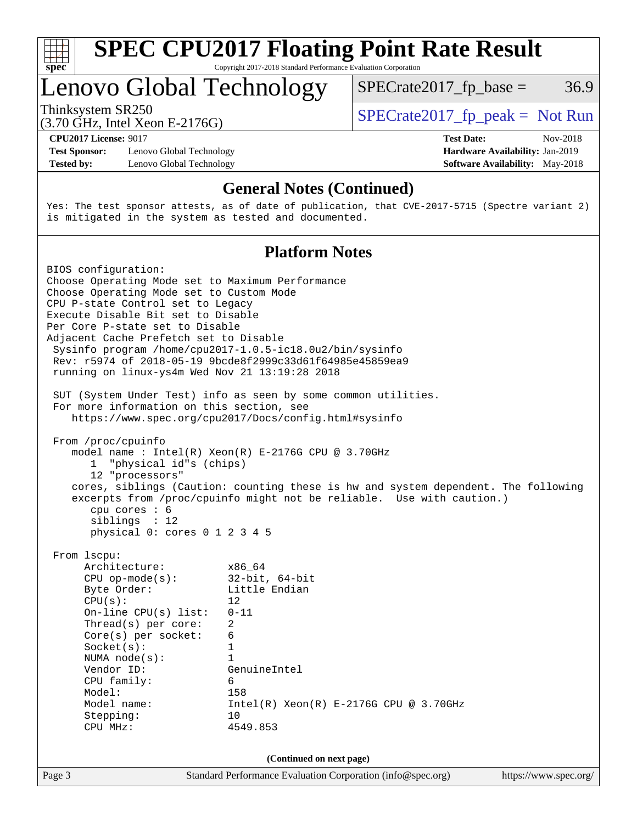

# Lenovo Global Technology

Thinksystem SR250  $SPECrate2017$  fp\_peak = Not Run

 $SPECTate2017<sub>fp</sub> base =  $36.9$$ 

(3.70 GHz, Intel Xeon E-2176G)

**[Test Sponsor:](http://www.spec.org/auto/cpu2017/Docs/result-fields.html#TestSponsor)** Lenovo Global Technology **[Hardware Availability:](http://www.spec.org/auto/cpu2017/Docs/result-fields.html#HardwareAvailability)** Jan-2019 **[Tested by:](http://www.spec.org/auto/cpu2017/Docs/result-fields.html#Testedby)** Lenovo Global Technology **[Software Availability:](http://www.spec.org/auto/cpu2017/Docs/result-fields.html#SoftwareAvailability)** May-2018

**[CPU2017 License:](http://www.spec.org/auto/cpu2017/Docs/result-fields.html#CPU2017License)** 9017 **[Test Date:](http://www.spec.org/auto/cpu2017/Docs/result-fields.html#TestDate)** Nov-2018

#### **[General Notes \(Continued\)](http://www.spec.org/auto/cpu2017/Docs/result-fields.html#GeneralNotes)**

Yes: The test sponsor attests, as of date of publication, that CVE-2017-5715 (Spectre variant 2) is mitigated in the system as tested and documented.

### **[Platform Notes](http://www.spec.org/auto/cpu2017/Docs/result-fields.html#PlatformNotes)**

Page 3 Standard Performance Evaluation Corporation [\(info@spec.org\)](mailto:info@spec.org) <https://www.spec.org/> BIOS configuration: Choose Operating Mode set to Maximum Performance Choose Operating Mode set to Custom Mode CPU P-state Control set to Legacy Execute Disable Bit set to Disable Per Core P-state set to Disable Adjacent Cache Prefetch set to Disable Sysinfo program /home/cpu2017-1.0.5-ic18.0u2/bin/sysinfo Rev: r5974 of 2018-05-19 9bcde8f2999c33d61f64985e45859ea9 running on linux-ys4m Wed Nov 21 13:19:28 2018 SUT (System Under Test) info as seen by some common utilities. For more information on this section, see <https://www.spec.org/cpu2017/Docs/config.html#sysinfo> From /proc/cpuinfo model name : Intel(R) Xeon(R) E-2176G CPU @ 3.70GHz 1 "physical id"s (chips) 12 "processors" cores, siblings (Caution: counting these is hw and system dependent. The following excerpts from /proc/cpuinfo might not be reliable. Use with caution.) cpu cores : 6 siblings : 12 physical 0: cores 0 1 2 3 4 5 From lscpu: Architecture: x86\_64 CPU op-mode(s): 32-bit, 64-bit Byte Order: Little Endian  $CPU(s):$  12 On-line CPU(s) list: 0-11 Thread(s) per core: 2 Core(s) per socket: 6 Socket(s): 1 NUMA node(s): 1 Vendor ID: GenuineIntel CPU family: 6 Model: 158 Model name: Intel(R) Xeon(R) E-2176G CPU @ 3.70GHz Stepping: 10 CPU MHz: 4549.853 **(Continued on next page)**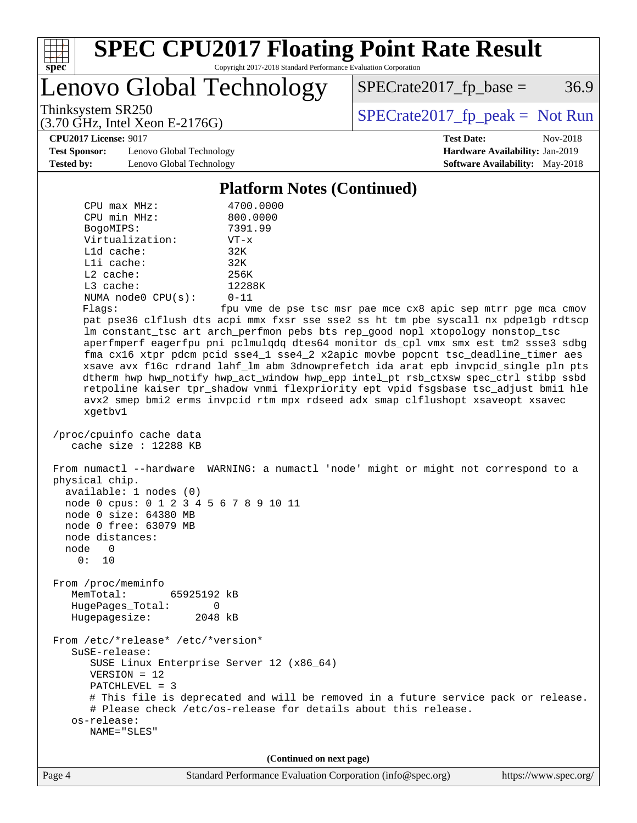

Lenovo Global Technology

 $SPECrate2017_fp\_base = 36.9$ 

(3.70 GHz, Intel Xeon E-2176G)

Thinksystem SR250<br>  $(3.70 \text{ GHz})$  Intel Yeon E-2176G)

**[Test Sponsor:](http://www.spec.org/auto/cpu2017/Docs/result-fields.html#TestSponsor)** Lenovo Global Technology **[Hardware Availability:](http://www.spec.org/auto/cpu2017/Docs/result-fields.html#HardwareAvailability)** Jan-2019 **[Tested by:](http://www.spec.org/auto/cpu2017/Docs/result-fields.html#Testedby)** Lenovo Global Technology **[Software Availability:](http://www.spec.org/auto/cpu2017/Docs/result-fields.html#SoftwareAvailability)** May-2018

**[CPU2017 License:](http://www.spec.org/auto/cpu2017/Docs/result-fields.html#CPU2017License)** 9017 **[Test Date:](http://www.spec.org/auto/cpu2017/Docs/result-fields.html#TestDate)** Nov-2018

#### **[Platform Notes \(Continued\)](http://www.spec.org/auto/cpu2017/Docs/result-fields.html#PlatformNotes)**

| $CPU$ $max$ $MHz$ :                                                                | 4700.0000                                                                                                                                                                   |  |  |  |  |  |  |
|------------------------------------------------------------------------------------|-----------------------------------------------------------------------------------------------------------------------------------------------------------------------------|--|--|--|--|--|--|
| CPU min MHz:                                                                       | 800.0000                                                                                                                                                                    |  |  |  |  |  |  |
| BogoMIPS:                                                                          | 7391.99                                                                                                                                                                     |  |  |  |  |  |  |
| Virtualization:                                                                    | $VT - x$                                                                                                                                                                    |  |  |  |  |  |  |
| $L1d$ cache:                                                                       | 32K                                                                                                                                                                         |  |  |  |  |  |  |
| Lli cache:                                                                         | 32K                                                                                                                                                                         |  |  |  |  |  |  |
| $L2$ cache:                                                                        | 256K                                                                                                                                                                        |  |  |  |  |  |  |
| L3 cache:                                                                          | 12288K                                                                                                                                                                      |  |  |  |  |  |  |
| NUMA $node0$ $CPU(s)$ :                                                            | $0 - 11$                                                                                                                                                                    |  |  |  |  |  |  |
| Flags:                                                                             | fpu vme de pse tsc msr pae mce cx8 apic sep mtrr pge mca cmov                                                                                                               |  |  |  |  |  |  |
|                                                                                    | pat pse36 clflush dts acpi mmx fxsr sse sse2 ss ht tm pbe syscall nx pdpelgb rdtscp                                                                                         |  |  |  |  |  |  |
|                                                                                    | lm constant_tsc art arch_perfmon pebs bts rep_good nopl xtopology nonstop_tsc                                                                                               |  |  |  |  |  |  |
|                                                                                    | aperfmperf eagerfpu pni pclmulqdq dtes64 monitor ds_cpl vmx smx est tm2 ssse3 sdbg                                                                                          |  |  |  |  |  |  |
|                                                                                    | fma cx16 xtpr pdcm pcid sse4_1 sse4_2 x2apic movbe popcnt tsc_deadline_timer aes                                                                                            |  |  |  |  |  |  |
|                                                                                    | xsave avx f16c rdrand lahf_lm abm 3dnowprefetch ida arat epb invpcid_single pln pts<br>dtherm hwp hwp_notify hwp_act_window hwp_epp intel_pt rsb_ctxsw spec_ctrl stibp ssbd |  |  |  |  |  |  |
|                                                                                    | retpoline kaiser tpr_shadow vnmi flexpriority ept vpid fsgsbase tsc_adjust bmil hle                                                                                         |  |  |  |  |  |  |
|                                                                                    | avx2 smep bmi2 erms invpcid rtm mpx rdseed adx smap clflushopt xsaveopt xsavec                                                                                              |  |  |  |  |  |  |
| xgetbv1                                                                            |                                                                                                                                                                             |  |  |  |  |  |  |
|                                                                                    |                                                                                                                                                                             |  |  |  |  |  |  |
| /proc/cpuinfo cache data                                                           |                                                                                                                                                                             |  |  |  |  |  |  |
| cache size : 12288 KB                                                              |                                                                                                                                                                             |  |  |  |  |  |  |
| physical chip.<br>available: 1 nodes (0)<br>node 0 cpus: 0 1 2 3 4 5 6 7 8 9 10 11 | From numactl --hardware WARNING: a numactl 'node' might or might not correspond to a                                                                                        |  |  |  |  |  |  |
| node 0 size: 64380 MB                                                              |                                                                                                                                                                             |  |  |  |  |  |  |
| node 0 free: 63079 MB                                                              |                                                                                                                                                                             |  |  |  |  |  |  |
| node distances:                                                                    |                                                                                                                                                                             |  |  |  |  |  |  |
| node 0<br>0: 10                                                                    |                                                                                                                                                                             |  |  |  |  |  |  |
|                                                                                    |                                                                                                                                                                             |  |  |  |  |  |  |
| From /proc/meminfo                                                                 |                                                                                                                                                                             |  |  |  |  |  |  |
| MemTotal:<br>65925192 kB                                                           |                                                                                                                                                                             |  |  |  |  |  |  |
| HugePages_Total:                                                                   | 0                                                                                                                                                                           |  |  |  |  |  |  |
| Hugepagesize:                                                                      | 2048 kB                                                                                                                                                                     |  |  |  |  |  |  |
|                                                                                    |                                                                                                                                                                             |  |  |  |  |  |  |
| From /etc/*release* /etc/*version*<br>SuSE-release:                                |                                                                                                                                                                             |  |  |  |  |  |  |
|                                                                                    | SUSE Linux Enterprise Server 12 (x86_64)                                                                                                                                    |  |  |  |  |  |  |
| $VERSION = 12$                                                                     |                                                                                                                                                                             |  |  |  |  |  |  |
| PATCHLEVEL = $3$                                                                   |                                                                                                                                                                             |  |  |  |  |  |  |
|                                                                                    | # This file is deprecated and will be removed in a future service pack or release.                                                                                          |  |  |  |  |  |  |
|                                                                                    | # Please check /etc/os-release for details about this release.                                                                                                              |  |  |  |  |  |  |
| os-release:                                                                        |                                                                                                                                                                             |  |  |  |  |  |  |
| NAME="SLES"                                                                        |                                                                                                                                                                             |  |  |  |  |  |  |
|                                                                                    |                                                                                                                                                                             |  |  |  |  |  |  |
|                                                                                    | (Continued on next page)                                                                                                                                                    |  |  |  |  |  |  |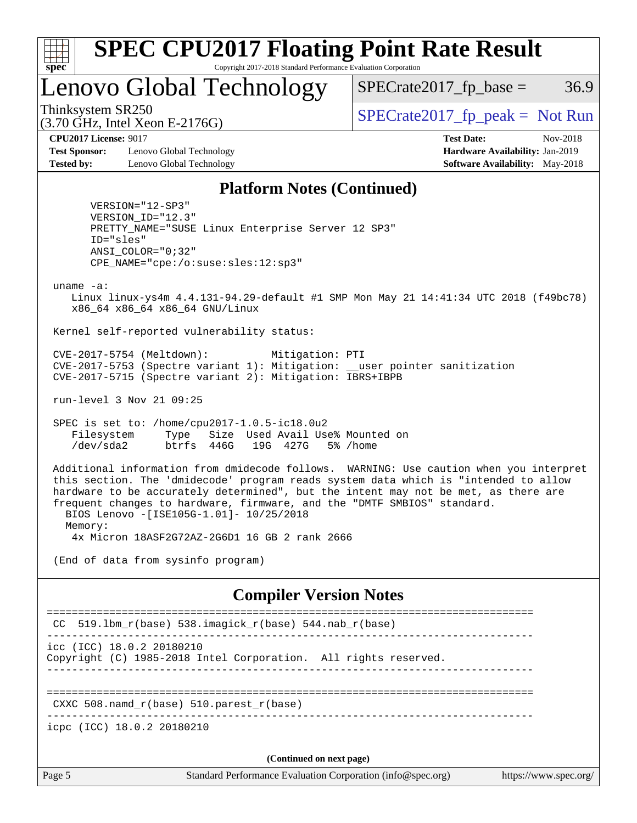

Lenovo Global Technology

 $SPECTate2017<sub>fp</sub> base =  $36.9$$ 

(3.70 GHz, Intel Xeon E-2176G)

Thinksystem SR250  $SPECrate2017$  fp\_peak = Not Run

**[Test Sponsor:](http://www.spec.org/auto/cpu2017/Docs/result-fields.html#TestSponsor)** Lenovo Global Technology **[Hardware Availability:](http://www.spec.org/auto/cpu2017/Docs/result-fields.html#HardwareAvailability)** Jan-2019 **[Tested by:](http://www.spec.org/auto/cpu2017/Docs/result-fields.html#Testedby)** Lenovo Global Technology **[Software Availability:](http://www.spec.org/auto/cpu2017/Docs/result-fields.html#SoftwareAvailability)** May-2018

**[CPU2017 License:](http://www.spec.org/auto/cpu2017/Docs/result-fields.html#CPU2017License)** 9017 **[Test Date:](http://www.spec.org/auto/cpu2017/Docs/result-fields.html#TestDate)** Nov-2018

#### **[Platform Notes \(Continued\)](http://www.spec.org/auto/cpu2017/Docs/result-fields.html#PlatformNotes)**

 VERSION="12-SP3" VERSION\_ID="12.3" PRETTY\_NAME="SUSE Linux Enterprise Server 12 SP3" ID="sles" ANSI\_COLOR="0;32" CPE\_NAME="cpe:/o:suse:sles:12:sp3"

uname -a:

 Linux linux-ys4m 4.4.131-94.29-default #1 SMP Mon May 21 14:41:34 UTC 2018 (f49bc78) x86\_64 x86\_64 x86\_64 GNU/Linux

Kernel self-reported vulnerability status:

 CVE-2017-5754 (Meltdown): Mitigation: PTI CVE-2017-5753 (Spectre variant 1): Mitigation: \_\_user pointer sanitization CVE-2017-5715 (Spectre variant 2): Mitigation: IBRS+IBPB

run-level 3 Nov 21 09:25

 SPEC is set to: /home/cpu2017-1.0.5-ic18.0u2 Filesystem Type Size Used Avail Use% Mounted on /dev/sda2 btrfs 446G 19G 427G 5% /home

 Additional information from dmidecode follows. WARNING: Use caution when you interpret this section. The 'dmidecode' program reads system data which is "intended to allow hardware to be accurately determined", but the intent may not be met, as there are frequent changes to hardware, firmware, and the "DMTF SMBIOS" standard. BIOS Lenovo -[ISE105G-1.01]- 10/25/2018 Memory:

4x Micron 18ASF2G72AZ-2G6D1 16 GB 2 rank 2666

(End of data from sysinfo program)

#### **[Compiler Version Notes](http://www.spec.org/auto/cpu2017/Docs/result-fields.html#CompilerVersionNotes)**

Page 5 Standard Performance Evaluation Corporation [\(info@spec.org\)](mailto:info@spec.org) <https://www.spec.org/> ============================================================================== CC 519.1bm  $r(base)$  538.imagick  $r(base)$  544.nab  $r(base)$ ----------------------------------------------------------------------------- icc (ICC) 18.0.2 20180210 Copyright (C) 1985-2018 Intel Corporation. All rights reserved. ------------------------------------------------------------------------------ ============================================================================== CXXC 508.namd\_r(base) 510.parest\_r(base) ----------------------------------------------------------------------------- icpc (ICC) 18.0.2 20180210 **(Continued on next page)**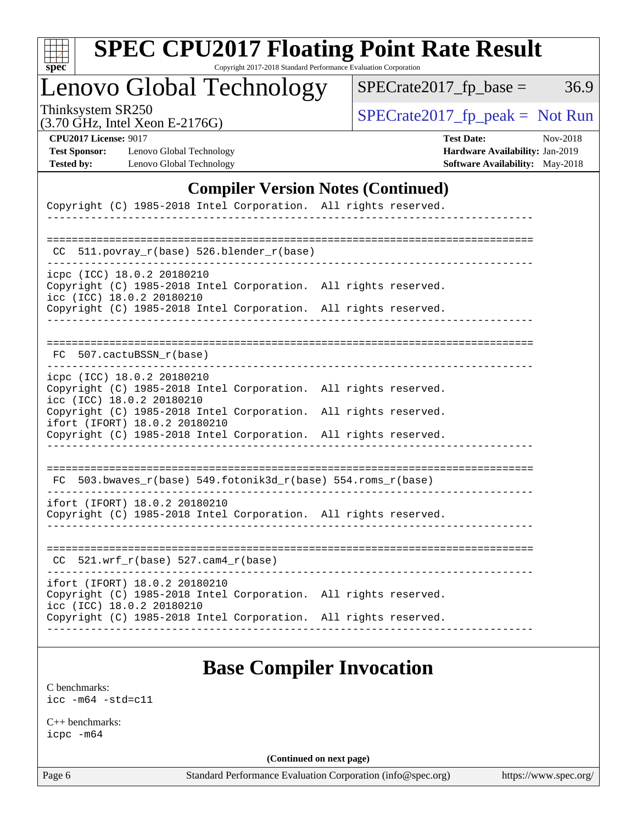| c<br>E<br>S<br>L<br>Ġ. |  |  |  |  |  |
|------------------------|--|--|--|--|--|

# **[SPEC CPU2017 Floating Point Rate Result](http://www.spec.org/auto/cpu2017/Docs/result-fields.html#SPECCPU2017FloatingPointRateResult)**

Copyright 2017-2018 Standard Performance Evaluation Corporation

Lenovo Global Technology

Thinksystem SR250<br>  $(3.70 \text{ GHz, Intel Yoon E } 2176 \text{C})$  [SPECrate2017\\_fp\\_peak =](http://www.spec.org/auto/cpu2017/Docs/result-fields.html#SPECrate2017fppeak) Not Run

 $SPECTate2017_fp\_base = 36.9$ 

(3.70 GHz, Intel Xeon E-2176G)

**[CPU2017 License:](http://www.spec.org/auto/cpu2017/Docs/result-fields.html#CPU2017License)** 9017 **[Test Date:](http://www.spec.org/auto/cpu2017/Docs/result-fields.html#TestDate)** Nov-2018 **[Test Sponsor:](http://www.spec.org/auto/cpu2017/Docs/result-fields.html#TestSponsor)** Lenovo Global Technology **[Hardware Availability:](http://www.spec.org/auto/cpu2017/Docs/result-fields.html#HardwareAvailability)** Jan-2019 **[Tested by:](http://www.spec.org/auto/cpu2017/Docs/result-fields.html#Testedby)** Lenovo Global Technology **[Software Availability:](http://www.spec.org/auto/cpu2017/Docs/result-fields.html#SoftwareAvailability)** May-2018

#### **[Compiler Version Notes \(Continued\)](http://www.spec.org/auto/cpu2017/Docs/result-fields.html#CompilerVersionNotes)**

| Copyright (C) 1985-2018 Intel Corporation. All rights reserved.                                                               |                      |  |
|-------------------------------------------------------------------------------------------------------------------------------|----------------------|--|
|                                                                                                                               |                      |  |
| 511.povray_r(base) 526.blender_r(base)<br>CC.                                                                                 |                      |  |
| icpc (ICC) 18.0.2 20180210<br>Copyright (C) 1985-2018 Intel Corporation. All rights reserved.<br>icc (ICC) 18.0.2 20180210    |                      |  |
| Copyright (C) 1985-2018 Intel Corporation. All rights reserved.                                                               |                      |  |
| FC 507.cactuBSSN r(base)                                                                                                      |                      |  |
| icpc (ICC) 18.0.2 20180210<br>Copyright (C) 1985-2018 Intel Corporation. All rights reserved.<br>icc (ICC) 18.0.2 20180210    |                      |  |
| Copyright (C) 1985-2018 Intel Corporation.<br>ifort (IFORT) 18.0.2 20180210                                                   | All rights reserved. |  |
| Copyright (C) 1985-2018 Intel Corporation. All rights reserved.                                                               |                      |  |
| 503.bwaves_r(base) 549.fotonik3d_r(base) 554.roms_r(base)<br>FC.                                                              |                      |  |
| ifort (IFORT) 18.0.2 20180210<br>Copyright (C) 1985-2018 Intel Corporation. All rights reserved.                              |                      |  |
| $CC$ 521.wrf_r(base) 527.cam4_r(base)                                                                                         |                      |  |
| ifort (IFORT) 18.0.2 20180210<br>Copyright (C) 1985-2018 Intel Corporation. All rights reserved.<br>icc (ICC) 18.0.2 20180210 |                      |  |
| Copyright (C) 1985-2018 Intel Corporation. All rights reserved.                                                               |                      |  |

## **[Base Compiler Invocation](http://www.spec.org/auto/cpu2017/Docs/result-fields.html#BaseCompilerInvocation)**

[C benchmarks](http://www.spec.org/auto/cpu2017/Docs/result-fields.html#Cbenchmarks): [icc -m64 -std=c11](http://www.spec.org/cpu2017/results/res2018q4/cpu2017-20181126-09889.flags.html#user_CCbase_intel_icc_64bit_c11_33ee0cdaae7deeeab2a9725423ba97205ce30f63b9926c2519791662299b76a0318f32ddfffdc46587804de3178b4f9328c46fa7c2b0cd779d7a61945c91cd35)

[C++ benchmarks:](http://www.spec.org/auto/cpu2017/Docs/result-fields.html#CXXbenchmarks) [icpc -m64](http://www.spec.org/cpu2017/results/res2018q4/cpu2017-20181126-09889.flags.html#user_CXXbase_intel_icpc_64bit_4ecb2543ae3f1412ef961e0650ca070fec7b7afdcd6ed48761b84423119d1bf6bdf5cad15b44d48e7256388bc77273b966e5eb805aefd121eb22e9299b2ec9d9)

**(Continued on next page)**

Page 6 Standard Performance Evaluation Corporation [\(info@spec.org\)](mailto:info@spec.org) <https://www.spec.org/>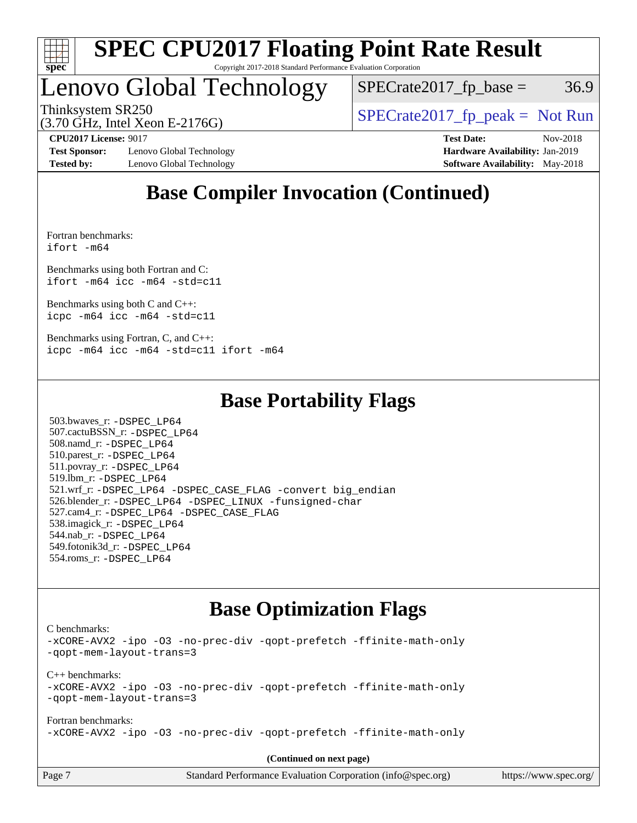

# Lenovo Global Technology

 $SPECTate2017<sub>fp</sub> base =  $36.9$$ 

(3.70 GHz, Intel Xeon E-2176G)

Thinksystem SR250  $SPECrate2017$  fp\_peak = Not Run

**[Test Sponsor:](http://www.spec.org/auto/cpu2017/Docs/result-fields.html#TestSponsor)** Lenovo Global Technology **[Hardware Availability:](http://www.spec.org/auto/cpu2017/Docs/result-fields.html#HardwareAvailability)** Jan-2019 **[Tested by:](http://www.spec.org/auto/cpu2017/Docs/result-fields.html#Testedby)** Lenovo Global Technology **[Software Availability:](http://www.spec.org/auto/cpu2017/Docs/result-fields.html#SoftwareAvailability)** May-2018

**[CPU2017 License:](http://www.spec.org/auto/cpu2017/Docs/result-fields.html#CPU2017License)** 9017 **[Test Date:](http://www.spec.org/auto/cpu2017/Docs/result-fields.html#TestDate)** Nov-2018

## **[Base Compiler Invocation \(Continued\)](http://www.spec.org/auto/cpu2017/Docs/result-fields.html#BaseCompilerInvocation)**

[Fortran benchmarks](http://www.spec.org/auto/cpu2017/Docs/result-fields.html#Fortranbenchmarks): [ifort -m64](http://www.spec.org/cpu2017/results/res2018q4/cpu2017-20181126-09889.flags.html#user_FCbase_intel_ifort_64bit_24f2bb282fbaeffd6157abe4f878425411749daecae9a33200eee2bee2fe76f3b89351d69a8130dd5949958ce389cf37ff59a95e7a40d588e8d3a57e0c3fd751)

[Benchmarks using both Fortran and C](http://www.spec.org/auto/cpu2017/Docs/result-fields.html#BenchmarksusingbothFortranandC): [ifort -m64](http://www.spec.org/cpu2017/results/res2018q4/cpu2017-20181126-09889.flags.html#user_CC_FCbase_intel_ifort_64bit_24f2bb282fbaeffd6157abe4f878425411749daecae9a33200eee2bee2fe76f3b89351d69a8130dd5949958ce389cf37ff59a95e7a40d588e8d3a57e0c3fd751) [icc -m64 -std=c11](http://www.spec.org/cpu2017/results/res2018q4/cpu2017-20181126-09889.flags.html#user_CC_FCbase_intel_icc_64bit_c11_33ee0cdaae7deeeab2a9725423ba97205ce30f63b9926c2519791662299b76a0318f32ddfffdc46587804de3178b4f9328c46fa7c2b0cd779d7a61945c91cd35)

[Benchmarks using both C and C++](http://www.spec.org/auto/cpu2017/Docs/result-fields.html#BenchmarksusingbothCandCXX): [icpc -m64](http://www.spec.org/cpu2017/results/res2018q4/cpu2017-20181126-09889.flags.html#user_CC_CXXbase_intel_icpc_64bit_4ecb2543ae3f1412ef961e0650ca070fec7b7afdcd6ed48761b84423119d1bf6bdf5cad15b44d48e7256388bc77273b966e5eb805aefd121eb22e9299b2ec9d9) [icc -m64 -std=c11](http://www.spec.org/cpu2017/results/res2018q4/cpu2017-20181126-09889.flags.html#user_CC_CXXbase_intel_icc_64bit_c11_33ee0cdaae7deeeab2a9725423ba97205ce30f63b9926c2519791662299b76a0318f32ddfffdc46587804de3178b4f9328c46fa7c2b0cd779d7a61945c91cd35)

[Benchmarks using Fortran, C, and C++:](http://www.spec.org/auto/cpu2017/Docs/result-fields.html#BenchmarksusingFortranCandCXX) [icpc -m64](http://www.spec.org/cpu2017/results/res2018q4/cpu2017-20181126-09889.flags.html#user_CC_CXX_FCbase_intel_icpc_64bit_4ecb2543ae3f1412ef961e0650ca070fec7b7afdcd6ed48761b84423119d1bf6bdf5cad15b44d48e7256388bc77273b966e5eb805aefd121eb22e9299b2ec9d9) [icc -m64 -std=c11](http://www.spec.org/cpu2017/results/res2018q4/cpu2017-20181126-09889.flags.html#user_CC_CXX_FCbase_intel_icc_64bit_c11_33ee0cdaae7deeeab2a9725423ba97205ce30f63b9926c2519791662299b76a0318f32ddfffdc46587804de3178b4f9328c46fa7c2b0cd779d7a61945c91cd35) [ifort -m64](http://www.spec.org/cpu2017/results/res2018q4/cpu2017-20181126-09889.flags.html#user_CC_CXX_FCbase_intel_ifort_64bit_24f2bb282fbaeffd6157abe4f878425411749daecae9a33200eee2bee2fe76f3b89351d69a8130dd5949958ce389cf37ff59a95e7a40d588e8d3a57e0c3fd751)

### **[Base Portability Flags](http://www.spec.org/auto/cpu2017/Docs/result-fields.html#BasePortabilityFlags)**

 503.bwaves\_r: [-DSPEC\\_LP64](http://www.spec.org/cpu2017/results/res2018q4/cpu2017-20181126-09889.flags.html#suite_basePORTABILITY503_bwaves_r_DSPEC_LP64) 507.cactuBSSN\_r: [-DSPEC\\_LP64](http://www.spec.org/cpu2017/results/res2018q4/cpu2017-20181126-09889.flags.html#suite_basePORTABILITY507_cactuBSSN_r_DSPEC_LP64) 508.namd\_r: [-DSPEC\\_LP64](http://www.spec.org/cpu2017/results/res2018q4/cpu2017-20181126-09889.flags.html#suite_basePORTABILITY508_namd_r_DSPEC_LP64) 510.parest\_r: [-DSPEC\\_LP64](http://www.spec.org/cpu2017/results/res2018q4/cpu2017-20181126-09889.flags.html#suite_basePORTABILITY510_parest_r_DSPEC_LP64) 511.povray\_r: [-DSPEC\\_LP64](http://www.spec.org/cpu2017/results/res2018q4/cpu2017-20181126-09889.flags.html#suite_basePORTABILITY511_povray_r_DSPEC_LP64) 519.lbm\_r: [-DSPEC\\_LP64](http://www.spec.org/cpu2017/results/res2018q4/cpu2017-20181126-09889.flags.html#suite_basePORTABILITY519_lbm_r_DSPEC_LP64) 521.wrf\_r: [-DSPEC\\_LP64](http://www.spec.org/cpu2017/results/res2018q4/cpu2017-20181126-09889.flags.html#suite_basePORTABILITY521_wrf_r_DSPEC_LP64) [-DSPEC\\_CASE\\_FLAG](http://www.spec.org/cpu2017/results/res2018q4/cpu2017-20181126-09889.flags.html#b521.wrf_r_baseCPORTABILITY_DSPEC_CASE_FLAG) [-convert big\\_endian](http://www.spec.org/cpu2017/results/res2018q4/cpu2017-20181126-09889.flags.html#user_baseFPORTABILITY521_wrf_r_convert_big_endian_c3194028bc08c63ac5d04de18c48ce6d347e4e562e8892b8bdbdc0214820426deb8554edfa529a3fb25a586e65a3d812c835984020483e7e73212c4d31a38223) 526.blender\_r: [-DSPEC\\_LP64](http://www.spec.org/cpu2017/results/res2018q4/cpu2017-20181126-09889.flags.html#suite_basePORTABILITY526_blender_r_DSPEC_LP64) [-DSPEC\\_LINUX](http://www.spec.org/cpu2017/results/res2018q4/cpu2017-20181126-09889.flags.html#b526.blender_r_baseCPORTABILITY_DSPEC_LINUX) [-funsigned-char](http://www.spec.org/cpu2017/results/res2018q4/cpu2017-20181126-09889.flags.html#user_baseCPORTABILITY526_blender_r_force_uchar_40c60f00ab013830e2dd6774aeded3ff59883ba5a1fc5fc14077f794d777847726e2a5858cbc7672e36e1b067e7e5c1d9a74f7176df07886a243d7cc18edfe67) 527.cam4\_r: [-DSPEC\\_LP64](http://www.spec.org/cpu2017/results/res2018q4/cpu2017-20181126-09889.flags.html#suite_basePORTABILITY527_cam4_r_DSPEC_LP64) [-DSPEC\\_CASE\\_FLAG](http://www.spec.org/cpu2017/results/res2018q4/cpu2017-20181126-09889.flags.html#b527.cam4_r_baseCPORTABILITY_DSPEC_CASE_FLAG) 538.imagick\_r: [-DSPEC\\_LP64](http://www.spec.org/cpu2017/results/res2018q4/cpu2017-20181126-09889.flags.html#suite_basePORTABILITY538_imagick_r_DSPEC_LP64) 544.nab\_r: [-DSPEC\\_LP64](http://www.spec.org/cpu2017/results/res2018q4/cpu2017-20181126-09889.flags.html#suite_basePORTABILITY544_nab_r_DSPEC_LP64) 549.fotonik3d\_r: [-DSPEC\\_LP64](http://www.spec.org/cpu2017/results/res2018q4/cpu2017-20181126-09889.flags.html#suite_basePORTABILITY549_fotonik3d_r_DSPEC_LP64) 554.roms\_r: [-DSPEC\\_LP64](http://www.spec.org/cpu2017/results/res2018q4/cpu2017-20181126-09889.flags.html#suite_basePORTABILITY554_roms_r_DSPEC_LP64)

## **[Base Optimization Flags](http://www.spec.org/auto/cpu2017/Docs/result-fields.html#BaseOptimizationFlags)**

[C benchmarks](http://www.spec.org/auto/cpu2017/Docs/result-fields.html#Cbenchmarks):

[-xCORE-AVX2](http://www.spec.org/cpu2017/results/res2018q4/cpu2017-20181126-09889.flags.html#user_CCbase_f-xCORE-AVX2) [-ipo](http://www.spec.org/cpu2017/results/res2018q4/cpu2017-20181126-09889.flags.html#user_CCbase_f-ipo) [-O3](http://www.spec.org/cpu2017/results/res2018q4/cpu2017-20181126-09889.flags.html#user_CCbase_f-O3) [-no-prec-div](http://www.spec.org/cpu2017/results/res2018q4/cpu2017-20181126-09889.flags.html#user_CCbase_f-no-prec-div) [-qopt-prefetch](http://www.spec.org/cpu2017/results/res2018q4/cpu2017-20181126-09889.flags.html#user_CCbase_f-qopt-prefetch) [-ffinite-math-only](http://www.spec.org/cpu2017/results/res2018q4/cpu2017-20181126-09889.flags.html#user_CCbase_f_finite_math_only_cb91587bd2077682c4b38af759c288ed7c732db004271a9512da14a4f8007909a5f1427ecbf1a0fb78ff2a814402c6114ac565ca162485bbcae155b5e4258871) [-qopt-mem-layout-trans=3](http://www.spec.org/cpu2017/results/res2018q4/cpu2017-20181126-09889.flags.html#user_CCbase_f-qopt-mem-layout-trans_de80db37974c74b1f0e20d883f0b675c88c3b01e9d123adea9b28688d64333345fb62bc4a798493513fdb68f60282f9a726aa07f478b2f7113531aecce732043) [C++ benchmarks:](http://www.spec.org/auto/cpu2017/Docs/result-fields.html#CXXbenchmarks) [-xCORE-AVX2](http://www.spec.org/cpu2017/results/res2018q4/cpu2017-20181126-09889.flags.html#user_CXXbase_f-xCORE-AVX2) [-ipo](http://www.spec.org/cpu2017/results/res2018q4/cpu2017-20181126-09889.flags.html#user_CXXbase_f-ipo) [-O3](http://www.spec.org/cpu2017/results/res2018q4/cpu2017-20181126-09889.flags.html#user_CXXbase_f-O3) [-no-prec-div](http://www.spec.org/cpu2017/results/res2018q4/cpu2017-20181126-09889.flags.html#user_CXXbase_f-no-prec-div) [-qopt-prefetch](http://www.spec.org/cpu2017/results/res2018q4/cpu2017-20181126-09889.flags.html#user_CXXbase_f-qopt-prefetch) [-ffinite-math-only](http://www.spec.org/cpu2017/results/res2018q4/cpu2017-20181126-09889.flags.html#user_CXXbase_f_finite_math_only_cb91587bd2077682c4b38af759c288ed7c732db004271a9512da14a4f8007909a5f1427ecbf1a0fb78ff2a814402c6114ac565ca162485bbcae155b5e4258871) [-qopt-mem-layout-trans=3](http://www.spec.org/cpu2017/results/res2018q4/cpu2017-20181126-09889.flags.html#user_CXXbase_f-qopt-mem-layout-trans_de80db37974c74b1f0e20d883f0b675c88c3b01e9d123adea9b28688d64333345fb62bc4a798493513fdb68f60282f9a726aa07f478b2f7113531aecce732043) [Fortran benchmarks](http://www.spec.org/auto/cpu2017/Docs/result-fields.html#Fortranbenchmarks): [-xCORE-AVX2](http://www.spec.org/cpu2017/results/res2018q4/cpu2017-20181126-09889.flags.html#user_FCbase_f-xCORE-AVX2) [-ipo](http://www.spec.org/cpu2017/results/res2018q4/cpu2017-20181126-09889.flags.html#user_FCbase_f-ipo) [-O3](http://www.spec.org/cpu2017/results/res2018q4/cpu2017-20181126-09889.flags.html#user_FCbase_f-O3) [-no-prec-div](http://www.spec.org/cpu2017/results/res2018q4/cpu2017-20181126-09889.flags.html#user_FCbase_f-no-prec-div) [-qopt-prefetch](http://www.spec.org/cpu2017/results/res2018q4/cpu2017-20181126-09889.flags.html#user_FCbase_f-qopt-prefetch) [-ffinite-math-only](http://www.spec.org/cpu2017/results/res2018q4/cpu2017-20181126-09889.flags.html#user_FCbase_f_finite_math_only_cb91587bd2077682c4b38af759c288ed7c732db004271a9512da14a4f8007909a5f1427ecbf1a0fb78ff2a814402c6114ac565ca162485bbcae155b5e4258871)

**(Continued on next page)**

| Page 7 | Standard Performance Evaluation Corporation (info@spec.org) | https://www.spec.org/ |
|--------|-------------------------------------------------------------|-----------------------|
|        |                                                             |                       |